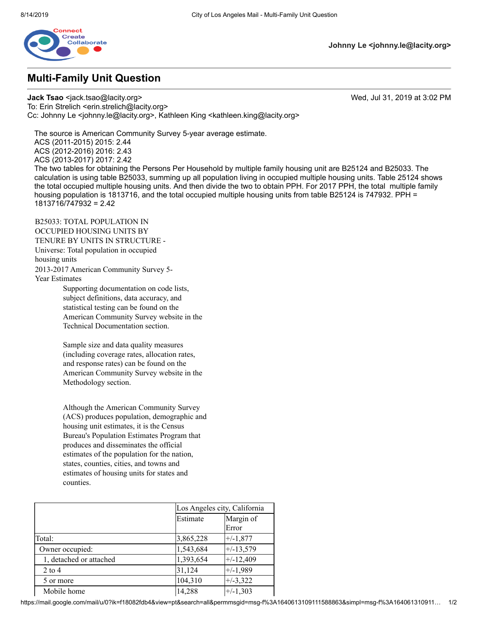

## **Multi-Family Unit Question**

**Johnny Le <johnny.le@lacity.org>**

**Jack Tsao** <jack.tsao@lacity.org> Wed, Jul 31, 2019 at 3:02 PM To: Erin Strelich <erin.strelich@lacity.org> Cc: Johnny Le <johnny.le@lacity.org>, Kathleen King <kathleen.king@lacity.org>

The source is American Community Survey 5-year average estimate.

ACS (2011-2015) 2015: 2.44 ACS (2012-2016) 2016: 2.43

ACS (2013-2017) 2017: 2.42

The two tables for obtaining the Persons Per Household by multiple family housing unit are B25124 and B25033. The calculation is using table B25033, summing up all population living in occupied multiple housing units. Table 25124 shows the total occupied multiple housing units. And then divide the two to obtain PPH. For 2017 PPH, the total multiple family housing population is 1813716, and the total occupied multiple housing units from table B25124 is 747932. PPH = 1813716/747932 = 2.42

B25033: TOTAL POPULATION IN OCCUPIED HOUSING UNITS BY TENURE BY UNITS IN STRUCTURE - Universe: Total population in occupied housing units 2013-2017 American Community Survey 5- Year Estimates

Supporting documentation on code lists, subject definitions, data accuracy, and statistical testing can be found on the American Community Survey website in the Technical Documentation section.

Sample size and data quality measures (including coverage rates, allocation rates, and response rates) can be found on the American Community Survey website in the Methodology section.

Although the American Community Survey (ACS) produces population, demographic and housing unit estimates, it is the Census Bureau's Population Estimates Program that produces and disseminates the official estimates of the population for the nation, states, counties, cities, and towns and estimates of housing units for states and counties.

|                         |           | Los Angeles city, California |  |
|-------------------------|-----------|------------------------------|--|
|                         | Estimate  | Margin of                    |  |
|                         |           | Error                        |  |
| Total:                  | 3,865,228 | $+/-1,877$                   |  |
| Owner occupied:         | 1,543,684 | $+/-13,579$                  |  |
| 1, detached or attached | 1,393,654 | $+/-12,409$                  |  |
| $2$ to 4                | 31,124    | $+/-1,989$                   |  |
| 5 or more               | 104,310   | $+/-3,322$                   |  |
| Mobile home             | 14,288    | $+/-1,303$                   |  |